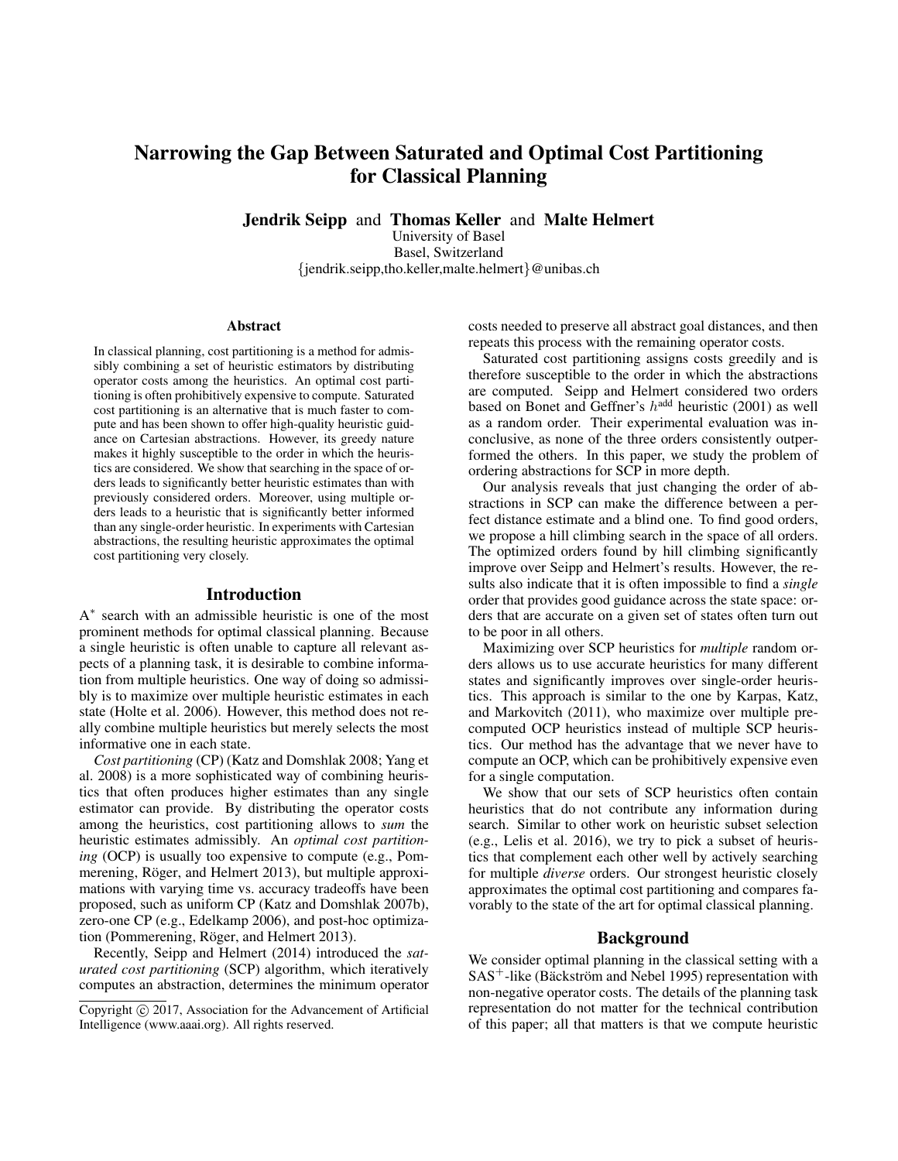# Narrowing the Gap Between Saturated and Optimal Cost Partitioning for Classical Planning

Jendrik Seipp and Thomas Keller and Malte Helmert

University of Basel

Basel, Switzerland {jendrik.seipp,tho.keller,malte.helmert}@unibas.ch

#### Abstract

In classical planning, cost partitioning is a method for admissibly combining a set of heuristic estimators by distributing operator costs among the heuristics. An optimal cost partitioning is often prohibitively expensive to compute. Saturated cost partitioning is an alternative that is much faster to compute and has been shown to offer high-quality heuristic guidance on Cartesian abstractions. However, its greedy nature makes it highly susceptible to the order in which the heuristics are considered. We show that searching in the space of orders leads to significantly better heuristic estimates than with previously considered orders. Moreover, using multiple orders leads to a heuristic that is significantly better informed than any single-order heuristic. In experiments with Cartesian abstractions, the resulting heuristic approximates the optimal cost partitioning very closely.

#### Introduction

A ∗ search with an admissible heuristic is one of the most prominent methods for optimal classical planning. Because a single heuristic is often unable to capture all relevant aspects of a planning task, it is desirable to combine information from multiple heuristics. One way of doing so admissibly is to maximize over multiple heuristic estimates in each state (Holte et al. 2006). However, this method does not really combine multiple heuristics but merely selects the most informative one in each state.

*Cost partitioning* (CP) (Katz and Domshlak 2008; Yang et al. 2008) is a more sophisticated way of combining heuristics that often produces higher estimates than any single estimator can provide. By distributing the operator costs among the heuristics, cost partitioning allows to *sum* the heuristic estimates admissibly. An *optimal cost partitioning* (OCP) is usually too expensive to compute (e.g., Pommerening, Röger, and Helmert 2013), but multiple approximations with varying time vs. accuracy tradeoffs have been proposed, such as uniform CP (Katz and Domshlak 2007b), zero-one CP (e.g., Edelkamp 2006), and post-hoc optimization (Pommerening, Röger, and Helmert 2013).

Recently, Seipp and Helmert (2014) introduced the *saturated cost partitioning* (SCP) algorithm, which iteratively computes an abstraction, determines the minimum operator costs needed to preserve all abstract goal distances, and then repeats this process with the remaining operator costs.

Saturated cost partitioning assigns costs greedily and is therefore susceptible to the order in which the abstractions are computed. Seipp and Helmert considered two orders based on Bonet and Geffner's  $h^{\text{add}}$  heuristic (2001) as well as a random order. Their experimental evaluation was inconclusive, as none of the three orders consistently outperformed the others. In this paper, we study the problem of ordering abstractions for SCP in more depth.

Our analysis reveals that just changing the order of abstractions in SCP can make the difference between a perfect distance estimate and a blind one. To find good orders, we propose a hill climbing search in the space of all orders. The optimized orders found by hill climbing significantly improve over Seipp and Helmert's results. However, the results also indicate that it is often impossible to find a *single* order that provides good guidance across the state space: orders that are accurate on a given set of states often turn out to be poor in all others.

Maximizing over SCP heuristics for *multiple* random orders allows us to use accurate heuristics for many different states and significantly improves over single-order heuristics. This approach is similar to the one by Karpas, Katz, and Markovitch (2011), who maximize over multiple precomputed OCP heuristics instead of multiple SCP heuristics. Our method has the advantage that we never have to compute an OCP, which can be prohibitively expensive even for a single computation.

We show that our sets of SCP heuristics often contain heuristics that do not contribute any information during search. Similar to other work on heuristic subset selection (e.g., Lelis et al. 2016), we try to pick a subset of heuristics that complement each other well by actively searching for multiple *diverse* orders. Our strongest heuristic closely approximates the optimal cost partitioning and compares favorably to the state of the art for optimal classical planning.

# Background

We consider optimal planning in the classical setting with a  $SAS^+$ -like (Bäckström and Nebel 1995) representation with non-negative operator costs. The details of the planning task representation do not matter for the technical contribution of this paper; all that matters is that we compute heuristic

Copyright  $\odot$  2017, Association for the Advancement of Artificial Intelligence (www.aaai.org). All rights reserved.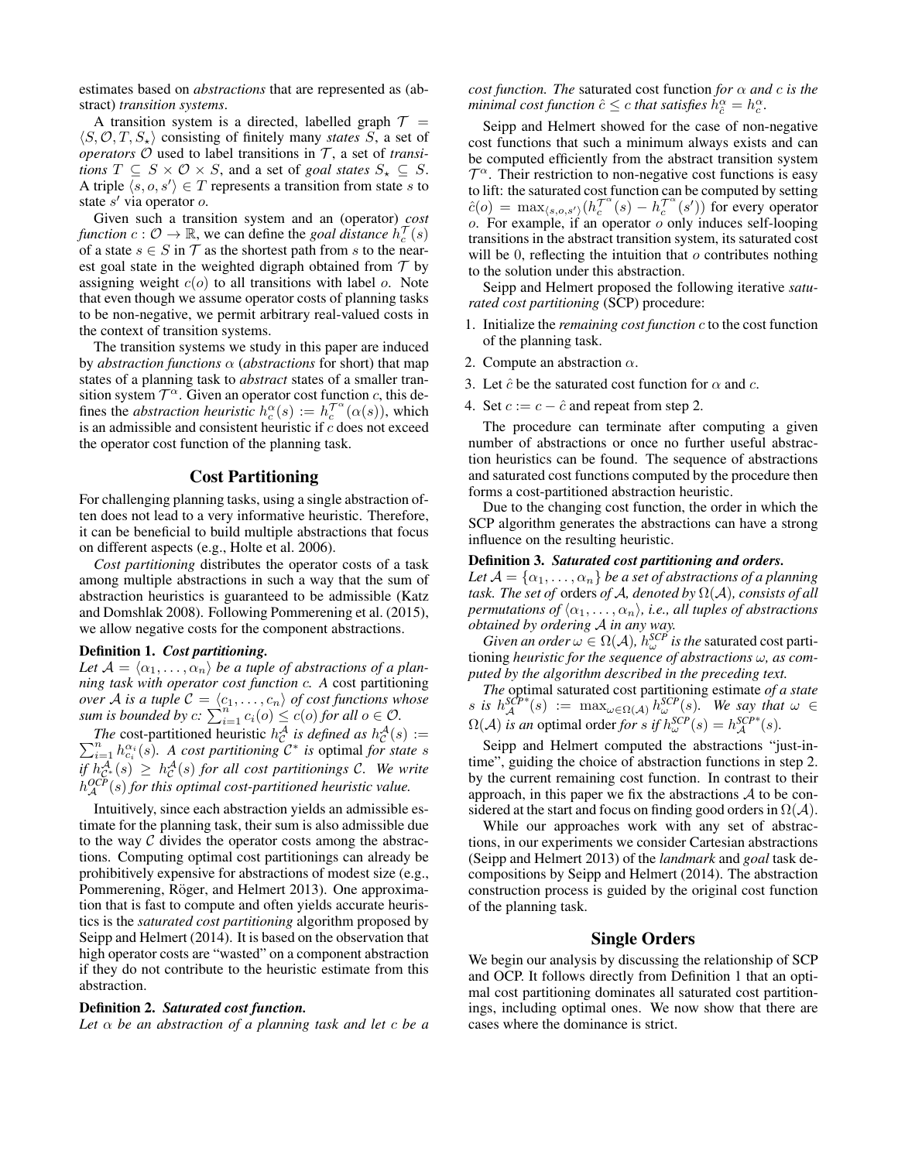estimates based on *abstractions* that are represented as (abstract) *transition systems*.

A transition system is a directed, labelled graph  $\mathcal{T}$  =  $\langle S, \mathcal{O}, T, S_{\star} \rangle$  consisting of finitely many *states* S, a set of *operators*  $O$  used to label transitions in  $T$ , a set of *transitions*  $T \subseteq S \times \mathcal{O} \times S$ , and a set of *goal states*  $S_{\star} \subseteq S$ . A triple  $\langle s, o, s' \rangle \in T$  represents a transition from state s to state  $s'$  via operator  $o$ .

Given such a transition system and an (operator) *cost function*  $c: \mathcal{O} \to \mathbb{R}$ , we can define the *goal distance*  $h_c^{\mathcal{T}}(s)$ of a state  $s \in S$  in  $T$  as the shortest path from s to the nearest goal state in the weighted digraph obtained from  $\mathcal T$  by assigning weight  $c(o)$  to all transitions with label  $o$ . Note that even though we assume operator costs of planning tasks to be non-negative, we permit arbitrary real-valued costs in the context of transition systems.

The transition systems we study in this paper are induced by *abstraction functions* α (*abstractions* for short) that map states of a planning task to *abstract* states of a smaller transition system  $\mathcal{T}^{\alpha}$ . Given an operator cost function c, this defines the *abstraction heuristic*  $h_c^{\alpha}(s) := h_c^{\mathcal{T}^{\alpha}}(\alpha(s))$ , which is an admissible and consistent heuristic if  $c$  does not exceed the operator cost function of the planning task.

# Cost Partitioning

For challenging planning tasks, using a single abstraction often does not lead to a very informative heuristic. Therefore, it can be beneficial to build multiple abstractions that focus on different aspects (e.g., Holte et al. 2006).

*Cost partitioning* distributes the operator costs of a task among multiple abstractions in such a way that the sum of abstraction heuristics is guaranteed to be admissible (Katz and Domshlak 2008). Following Pommerening et al. (2015), we allow negative costs for the component abstractions.

# Definition 1. *Cost partitioning.*

Let  $A = \langle \alpha_1, \ldots, \alpha_n \rangle$  *be a tuple of abstractions of a planning task with operator cost function* c*. A* cost partitioning *over* A is a tuple  $C = \langle c_1, \ldots, c_n \rangle$  *of cost functions whose sum is bounded by*  $c: \sum_{i=1}^{n} c_i(o) \leq c(o)$  *for all*  $o \in \mathcal{O}$ *.* 

*The* cost-partitioned heuristic  $h_C^A$  is defined as  $h_C^A$ <br> $\sum_{i=1}^n h_{C_i}^{\alpha_i}(s)$ . A cost partitioning  $C^*$  is optimal for The cost-partitioned heuristic  $h_C^{\mathcal{A}}$  is defined as  $h_C^{\mathcal{A}}(s) :=$ <br> $\sum_{i=1}^n h_{c_i}^{\alpha_i}(s)$ . A cost partitioning  $C^*$  is optimal for state s *if*  $h_{\mathcal{C}^*}^{\mathcal{A}}(s) \geq h_{\mathcal{C}}^{\mathcal{A}}(s)$  for all cost partitionings C. We write  $h_{\mathcal{A}}^{OCP}(s)$  for this optimal cost-partitioned heuristic value.

Intuitively, since each abstraction yields an admissible estimate for the planning task, their sum is also admissible due to the way  $\mathcal C$  divides the operator costs among the abstractions. Computing optimal cost partitionings can already be prohibitively expensive for abstractions of modest size (e.g., Pommerening, Röger, and Helmert 2013). One approximation that is fast to compute and often yields accurate heuristics is the *saturated cost partitioning* algorithm proposed by Seipp and Helmert (2014). It is based on the observation that high operator costs are "wasted" on a component abstraction if they do not contribute to the heuristic estimate from this abstraction.

#### Definition 2. *Saturated cost function.*

*Let* α *be an abstraction of a planning task and let* c *be a*

*cost function. The* saturated cost function *for* α *and* c *is the minimal cost function*  $\hat{c} \leq c$  *that satisfies*  $h^{\alpha}_{\hat{c}} = h^{\alpha}_c$ .

Seipp and Helmert showed for the case of non-negative cost functions that such a minimum always exists and can be computed efficiently from the abstract transition system  $\mathcal{T}^{\alpha}$ . Their restriction to non-negative cost functions is easy to lift: the saturated cost function can be computed by setting  $\hat{c}(o) = \max_{\langle s, o, s'\rangle} (h_c^{\mathcal{T}^{\alpha}}(s) - h_c^{\mathcal{T}^{\alpha}}(s'))$  for every operator  $o.$  For example, if an operator  $o$  only induces self-looping transitions in the abstract transition system, its saturated cost will be 0, reflecting the intuition that  $\sigma$  contributes nothing to the solution under this abstraction.

Seipp and Helmert proposed the following iterative *saturated cost partitioning* (SCP) procedure:

- 1. Initialize the *remaining cost function* c to the cost function of the planning task.
- 2. Compute an abstraction  $\alpha$ .
- 3. Let  $\hat{c}$  be the saturated cost function for  $\alpha$  and  $c$ .
- 4. Set  $c := c \hat{c}$  and repeat from step 2.

The procedure can terminate after computing a given number of abstractions or once no further useful abstraction heuristics can be found. The sequence of abstractions and saturated cost functions computed by the procedure then forms a cost-partitioned abstraction heuristic.

Due to the changing cost function, the order in which the SCP algorithm generates the abstractions can have a strong influence on the resulting heuristic.

### Definition 3. *Saturated cost partitioning and orders.*

Let  $A = {\alpha_1, \ldots, \alpha_n}$  *be a set of abstractions of a planning task. The set of* orders *of*  $A$ *, denoted by*  $\Omega(A)$ *, consists of all permutations of*  $\langle \alpha_1, \ldots, \alpha_n \rangle$ , *i.e., all tuples of abstractions obtained by ordering* A *in any way.*

*Given an order*  $\omega \in \Omega(\mathcal{A})$ *,*  $h_{\omega}^{SCP}$  *is the saturated cost parti*tioning *heuristic for the sequence of abstractions* ω*, as computed by the algorithm described in the preceding text.*

*The* optimal saturated cost partitioning estimate *of a state* s is  $h_{\mathcal{A}}^{SCP*}(s) := \max_{\omega \in \Omega(\mathcal{A})} h_{\omega}^{SCP}(s)$ *. We say that*  $\omega \in$  $\Omega(\mathcal{A})$  *is an* optimal order *for s if*  $h_{\omega}^{SCP}(s) = h_{\mathcal{A}}^{SCP^*}(s)$ *.* 

Seipp and Helmert computed the abstractions "just-intime", guiding the choice of abstraction functions in step 2. by the current remaining cost function. In contrast to their approach, in this paper we fix the abstractions  $A$  to be considered at the start and focus on finding good orders in  $\Omega(\mathcal{A})$ .

While our approaches work with any set of abstractions, in our experiments we consider Cartesian abstractions (Seipp and Helmert 2013) of the *landmark* and *goal* task decompositions by Seipp and Helmert (2014). The abstraction construction process is guided by the original cost function of the planning task.

# Single Orders

We begin our analysis by discussing the relationship of SCP and OCP. It follows directly from Definition 1 that an optimal cost partitioning dominates all saturated cost partitionings, including optimal ones. We now show that there are cases where the dominance is strict.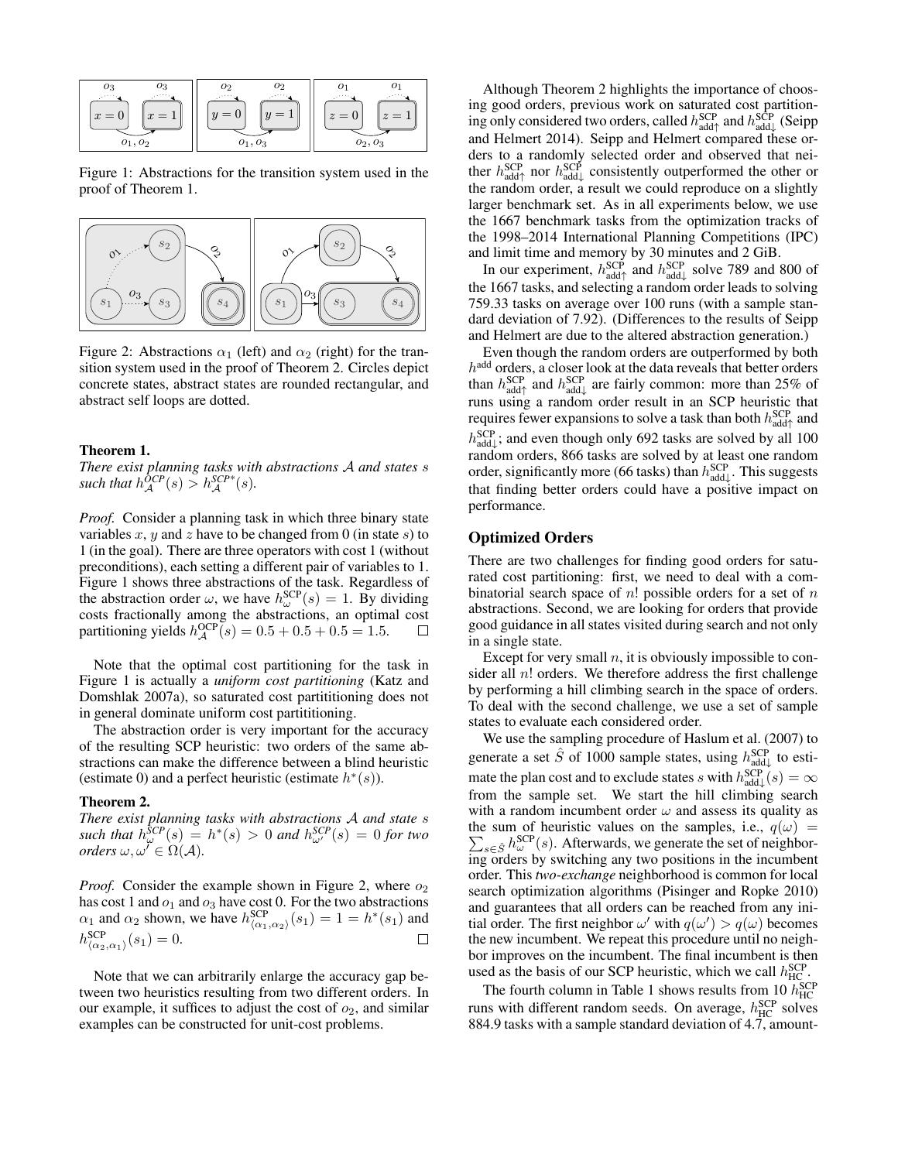

Figure 1: Abstractions for the transition system used in the proof of Theorem 1.



Figure 2: Abstractions  $\alpha_1$  (left) and  $\alpha_2$  (right) for the transition system used in the proof of Theorem 2. Circles depict concrete states, abstract states are rounded rectangular, and abstract self loops are dotted.

### Theorem 1.

*There exist planning tasks with abstractions* A *and states* s such that  $h_{\mathcal{A}}^{\overline{O}CP}(s) > h_{\mathcal{A}}^{SCP^*}(s)$ .

*Proof.* Consider a planning task in which three binary state variables x, y and z have to be changed from 0 (in state s) to 1 (in the goal). There are three operators with cost 1 (without preconditions), each setting a different pair of variables to 1. Figure 1 shows three abstractions of the task. Regardless of the abstraction order  $\omega$ , we have  $h_{\omega}^{\text{SCP}}(s) = 1$ . By dividing costs fractionally among the abstractions, an optimal cost partitioning yields  $h_{\mathcal{A}}^{\text{OCP}}(s) = 0.5 + 0.5 + 0.5 = 1.5.$ 

Note that the optimal cost partitioning for the task in Figure 1 is actually a *uniform cost partitioning* (Katz and Domshlak 2007a), so saturated cost partititioning does not in general dominate uniform cost partititioning.

The abstraction order is very important for the accuracy of the resulting SCP heuristic: two orders of the same abstractions can make the difference between a blind heuristic (estimate 0) and a perfect heuristic (estimate  $h^*(s)$ ).

#### Theorem 2.

*There exist planning tasks with abstractions* A *and state* s *such that*  $h_{\omega}^{\mathcal{S}CP}(s) = h^*(s) > 0$  *and*  $h_{\omega'}^{\mathcal{S}CP}(s) = 0$  *for two orders*  $\omega, \omega^r \in \Omega(\mathcal{A})$ .

*Proof.* Consider the example shown in Figure 2, where  $o_2$ has cost 1 and  $o_1$  and  $o_3$  have cost 0. For the two abstractions  $\alpha_1$  and  $\alpha_2$  shown, we have  $h_{\langle \alpha_1, \alpha_2 \rangle}^{SCP}(s_1) = 1 = h^*(s_1)$  and  $h^{\text{SCP}}_{\langle\alpha_2,\alpha_1\rangle}(s_1)=0.$  $\Box$ 

Note that we can arbitrarily enlarge the accuracy gap between two heuristics resulting from two different orders. In our example, it suffices to adjust the cost of  $o_2$ , and similar examples can be constructed for unit-cost problems.

Although Theorem 2 highlights the importance of choosing good orders, previous work on saturated cost partitioning only considered two orders, called  $h_{\text{add}\uparrow}^{\text{SCP}}$  and  $h_{\text{add}\downarrow}^{\text{SCP}}$  (Seipp and Helmert 2014). Seipp and Helmert compared these orders to a randomly selected order and observed that neither  $h_{\text{add}\uparrow}^{\text{SCP}}$  nor  $h_{\text{add}\downarrow}^{\text{SCP}}$  consistently outperformed the other or the random order, a result we could reproduce on a slightly larger benchmark set. As in all experiments below, we use the 1667 benchmark tasks from the optimization tracks of the 1998–2014 International Planning Competitions (IPC) and limit time and memory by 30 minutes and 2 GiB.

In our experiment,  $h_{\text{add}\nmid}^{\text{SCP}}$  and  $h_{\text{add}\nmid}^{\text{SCP}}$  solve 789 and 800 of the 1667 tasks, and selecting a random order leads to solving 759.33 tasks on average over 100 runs (with a sample standard deviation of 7.92). (Differences to the results of Seipp and Helmert are due to the altered abstraction generation.)

Even though the random orders are outperformed by both h<sup>add</sup> orders, a closer look at the data reveals that better orders than  $h_{\text{add}\uparrow}^{\text{SCP}}$  and  $h_{\text{add}\downarrow}^{\text{SCP}}$  are fairly common: more than 25% of runs using a random order result in an SCP heuristic that requires fewer expansions to solve a task than both  $h_{\text{add}\uparrow}^{\text{SCP}}$  and  $h_{\text{add}\downarrow}^{\text{SCP}}$ ; and even though only 692 tasks are solved by all 100 random orders, 866 tasks are solved by at least one random order, significantly more (66 tasks) than  $h_{\text{add}\downarrow}^{\text{SCP}}$ . This suggests that finding better orders could have a positive impact on performance.

### Optimized Orders

There are two challenges for finding good orders for saturated cost partitioning: first, we need to deal with a combinatorial search space of  $n!$  possible orders for a set of  $n$ abstractions. Second, we are looking for orders that provide good guidance in all states visited during search and not only in a single state.

Except for very small  $n$ , it is obviously impossible to consider all  $n!$  orders. We therefore address the first challenge by performing a hill climbing search in the space of orders. To deal with the second challenge, we use a set of sample states to evaluate each considered order.

We use the sampling procedure of Haslum et al. (2007) to generate a set  $\hat{S}$  of 1000 sample states, using  $h_{\text{add}\downarrow}^{\text{SCP}}$  to estimate the plan cost and to exclude states s with  $h_{\text{add}\downarrow}^{\text{SCP}}(s) = \infty$ from the sample set. We start the hill climbing search with a random incumbent order  $\omega$  and assess its quality as the sum of heuristic values on the samples, i.e.,  $q(\omega)$  =  $\sum_{s \in \hat{S}} h_{\omega}^{\text{SCP}}(s)$ . Afterwards, we generate the set of neighboring orders by switching any two positions in the incumbent order. This *two-exchange* neighborhood is common for local search optimization algorithms (Pisinger and Ropke 2010) and guarantees that all orders can be reached from any initial order. The first neighbor  $\omega'$  with  $q(\omega') > q(\omega)$  becomes the new incumbent. We repeat this procedure until no neighbor improves on the incumbent. The final incumbent is then used as the basis of our SCP heuristic, which we call  $h_{\text{HC}}^{\text{SCP}}$ .

The fourth column in Table 1 shows results from 10  $h_{HC}^{SCP}$ <br>runs with different random seeds. On average,  $h_{HC}^{SCP}$  solves 884.9 tasks with a sample standard deviation of 4.7, amount-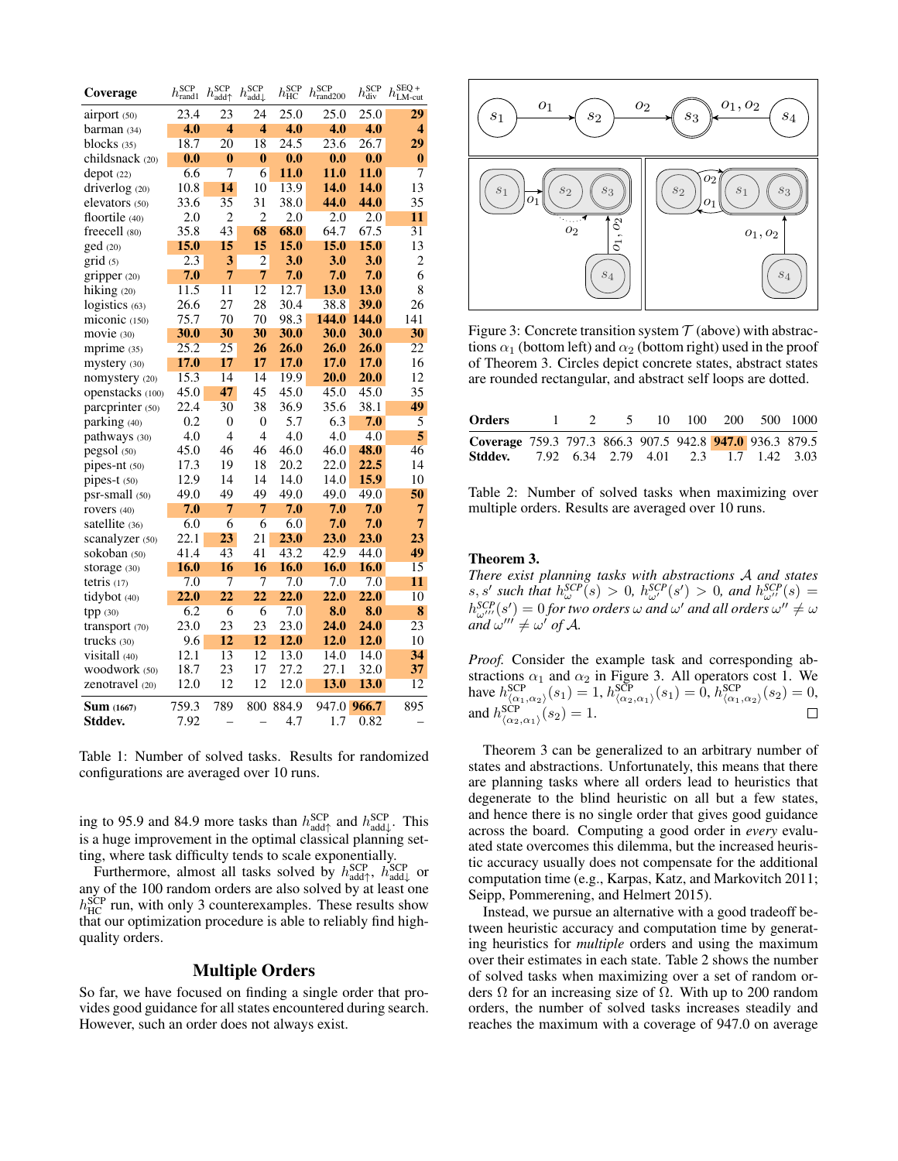| Coverage          | $h_{\text{rand1}}^{\text{SCP}}$ | $h_{\text{add}\uparrow}^{\text{SCP}}$ | $h^{\rm{SCP}}_{\rm{add}\downarrow}$ | SCP<br>$h^{\sim}_{\text{HC}}$ | $h_{\text{rand200}}^{\text{SCP}}$ | $h_{\rm div}^{\rm{SCP}}$ | $SEQ +$<br>$h_{LM-cut}$ |
|-------------------|---------------------------------|---------------------------------------|-------------------------------------|-------------------------------|-----------------------------------|--------------------------|-------------------------|
| airport (50)      | 23.4                            | 23                                    | 24                                  | 25.0                          | 25.0                              | 25.0                     | 29                      |
| barman (34)       | 4.0                             | $\overline{\mathbf{4}}$               | 4                                   | 4.0                           | 4.0                               | 4.0                      | $\overline{\mathbf{4}}$ |
| blocks $(35)$     | 18.7                            | 20                                    | 18                                  | 24.5                          | 23.6                              | 26.7                     | 29                      |
| childsnack (20)   | 0.0                             | $\bf{0}$                              | $\bf{0}$                            | 0.0                           | 0.0                               | 0.0                      | $\bf{0}$                |
| depot(22)         | 6.6                             | $\overline{7}$                        | 6                                   | 11.0                          | 11.0                              | 11.0                     | $\overline{7}$          |
| driverlog (20)    | 10.8                            | 14                                    | 10                                  | 13.9                          | 14.0                              | 14.0                     | 13                      |
| elevators (50)    | 33.6                            | 35                                    | 31                                  | 38.0                          | 44.0                              | 44.0                     | 35                      |
| floortile (40)    | 2.0                             | $\overline{2}$                        | $\overline{2}$                      | 2.0                           | 2.0                               | 2.0                      | 11                      |
| freecell (80)     | 35.8                            | 43                                    | 68                                  | 68.0                          | 64.7                              | 67.5                     | 31                      |
| ged(20)           | 15.0                            | 15                                    | 15                                  | 15.0                          | 15.0                              | 15.0                     | 13                      |
| grid(5)           | 2.3                             | 3                                     | 2                                   | 3.0                           | 3.0                               | 3.0                      | $\overline{c}$          |
| gripper $(20)$    | 7.0                             | 7                                     | 7                                   | 7.0                           | 7.0                               | 7.0                      | 6                       |
| hiking (20)       | 11.5                            | 11                                    | 12                                  | 12.7                          | 13.0                              | 13.0                     | 8                       |
| logistics $(63)$  | 26.6                            | 27                                    | 28                                  | 30.4                          | 38.8                              | 39.0                     | 26                      |
| miconic (150)     | 75.7                            | 70                                    | 70                                  | 98.3                          | 144.0                             | 144.0                    | 141                     |
| movie (30)        | 30.0                            | 30                                    | 30                                  | 30.0                          | 30.0                              | 30.0                     | 30                      |
| mprime (35)       | 25.2                            | 25                                    | 26                                  | 26.0                          | 26.0                              | 26.0                     | 22                      |
| mystery (30)      | 17.0                            | 17                                    | 17                                  | 17.0                          | 17.0                              | 17.0                     | 16                      |
| nomystery (20)    | 15.3                            | 14                                    | 14                                  | 19.9                          | 20.0                              | 20.0                     | 12                      |
| openstacks (100)  | 45.0                            | 47                                    | 45                                  | 45.0                          | 45.0                              | 45.0                     | 35                      |
| parcprinter (50)  | 22.4                            | 30                                    | 38                                  | 36.9                          | 35.6                              | 38.1                     | 49                      |
| parking (40)      | 0.2                             | $\boldsymbol{0}$                      | $\mathbf{0}$                        | 5.7                           | 6.3                               | 7.0                      | 5                       |
| pathways (30)     | 4.0                             | $\overline{4}$                        | $\overline{4}$                      | 4.0                           | 4.0                               | 4.0                      | 5                       |
| pegool(50)        | 45.0                            | 46                                    | 46                                  | 46.0                          | 46.0                              | 48.0                     | 46                      |
| pipes- $nt(50)$   | 17.3                            | 19                                    | 18                                  | 20.2                          | 22.0                              | 22.5                     | 14                      |
| pipes- $t(50)$    | 12.9                            | 14                                    | 14                                  | 14.0                          | 14.0                              | 15.9                     | 10                      |
| psr-small (50)    | 49.0                            | 49                                    | 49                                  | 49.0                          | 49.0                              | 49.0                     | 50                      |
| rovers (40)       | 7.0                             | 7                                     | 7                                   | 7.0                           | 7.0                               | 7.0                      | 7                       |
| satellite (36)    | 6.0                             | 6                                     | 6                                   | 6.0                           | 7.0                               | 7.0                      | 7                       |
| scanalyzer (50)   | 22.1                            | 23                                    | 21                                  | 23.0                          | 23.0                              | 23.0                     | 23                      |
| sokoban (50)      | 41.4                            | 43                                    | 41                                  | 43.2                          | 42.9                              | 44.0                     | 49                      |
| storage (30)      | 16.0                            | 16                                    | 16                                  | 16.0                          | 16.0                              | 16.0                     | 15                      |
| tetris $(17)$     | 7.0                             | 7                                     | 7                                   | 7.0                           | 7.0                               | 7.0                      | 11                      |
| tidybot (40)      | 22.0                            | $\overline{22}$                       | $\overline{22}$                     | 22.0                          | 22.0                              | 22.0                     | 10                      |
| tpp(30)           | 6.2                             | 6                                     | 6                                   | 7.0                           | 8.0                               | 8.0                      | 8                       |
| transport (70)    | 23.0                            | 23                                    | 23                                  | 23.0                          | 24.0                              | 24.0                     | 23                      |
| trucks (30)       | 9.6                             | 12                                    | 12                                  | 12.0                          | 12.0                              | 12.0                     | 10                      |
| visitall (40)     | 12.1                            | 13                                    | 12                                  | 13.0                          | 14.0                              | 14.0                     | 34                      |
| woodwork (50)     | 18.7                            | 23                                    | 17                                  | 27.2                          | 27.1                              | 32.0                     | 37                      |
| zenotravel (20)   | 12.0                            | 12                                    | 12                                  | 12.0                          | 13.0                              | 13.0                     | 12                      |
| <b>Sum</b> (1667) | 759.3                           | 789                                   | 800                                 | 884.9                         | 947.0                             | 966.7                    | 895                     |
| Stddev.           | 7.92                            |                                       |                                     | 4.7                           | 1.7                               | 0.82                     |                         |

Table 1: Number of solved tasks. Results for randomized configurations are averaged over 10 runs.

ing to 95.9 and 84.9 more tasks than  $h_{\text{add}\uparrow}^{\text{SCP}}$  and  $h_{\text{add}\downarrow}^{\text{SCP}}$ . This is a huge improvement in the optimal classical planning setting, where task difficulty tends to scale exponentially.

Furthermore, almost all tasks solved by  $h_{\text{add}\uparrow}^{\text{SCP}}, h_{\text{add}\downarrow}^{\text{SCP}}$ or any of the 100 random orders are also solved by at least one  $h_{\text{HC}}^{\text{SCP}}$  run, with only 3 counterexamples. These results show that our optimization procedure is able to reliably find highquality orders.

# Multiple Orders

So far, we have focused on finding a single order that provides good guidance for all states encountered during search. However, such an order does not always exist.



Figure 3: Concrete transition system  $\mathcal T$  (above) with abstractions  $\alpha_1$  (bottom left) and  $\alpha_2$  (bottom right) used in the proof of Theorem 3. Circles depict concrete states, abstract states are rounded rectangular, and abstract self loops are dotted.

| Orders                                                   |  |  | 1 2 5 10 100 200 500 1000 |  |
|----------------------------------------------------------|--|--|---------------------------|--|
| Coverage 759.3 797.3 866.3 907.5 942.8 947.0 936.3 879.5 |  |  |                           |  |
| <b>Stddev.</b> 7.92 6.34 2.79 4.01 2.3 1.7 1.42 3.03     |  |  |                           |  |

Table 2: Number of solved tasks when maximizing over multiple orders. Results are averaged over 10 runs.

#### Theorem 3.

*There exist planning tasks with abstractions* A *and states*  $s, s'$  such that  $h_{\omega}^{SCP}(\sigma) > 0$ ,  $h_{\omega'}^{SCP}(s') > 0$ , and  $h_{\omega''}^{SCP}(s) =$  $h_{\omega'''}^{SCP}(s') = 0$  *for two orders*  $\omega$  *and*  $\omega'$  *and all orders*  $\omega'' \neq \omega$  $\omega''' \neq \omega'$  of A.

*Proof.* Consider the example task and corresponding abstractions  $\alpha_1$  and  $\alpha_2$  in Figure 3. All operators cost 1. We have  $h^{\text{SCP}}_{\langle\alpha_1,\alpha_2\rangle}(s_1) = 1, h^{\text{SCP}}_{\langle\alpha_2,\alpha_1\rangle}(s_1) = 0, h^{\text{SCP}}_{\langle\alpha_1,\alpha_2\rangle}(s_2) = 0,$ and  $h^{\text{SCP}}_{\langle\alpha_2,\alpha_1\rangle}(s_2)=1$ .

Theorem 3 can be generalized to an arbitrary number of states and abstractions. Unfortunately, this means that there are planning tasks where all orders lead to heuristics that degenerate to the blind heuristic on all but a few states, and hence there is no single order that gives good guidance across the board. Computing a good order in *every* evaluated state overcomes this dilemma, but the increased heuristic accuracy usually does not compensate for the additional computation time (e.g., Karpas, Katz, and Markovitch 2011; Seipp, Pommerening, and Helmert 2015).

Instead, we pursue an alternative with a good tradeoff between heuristic accuracy and computation time by generating heuristics for *multiple* orders and using the maximum over their estimates in each state. Table 2 shows the number of solved tasks when maximizing over a set of random orders  $\Omega$  for an increasing size of  $\Omega$ . With up to 200 random orders, the number of solved tasks increases steadily and reaches the maximum with a coverage of 947.0 on average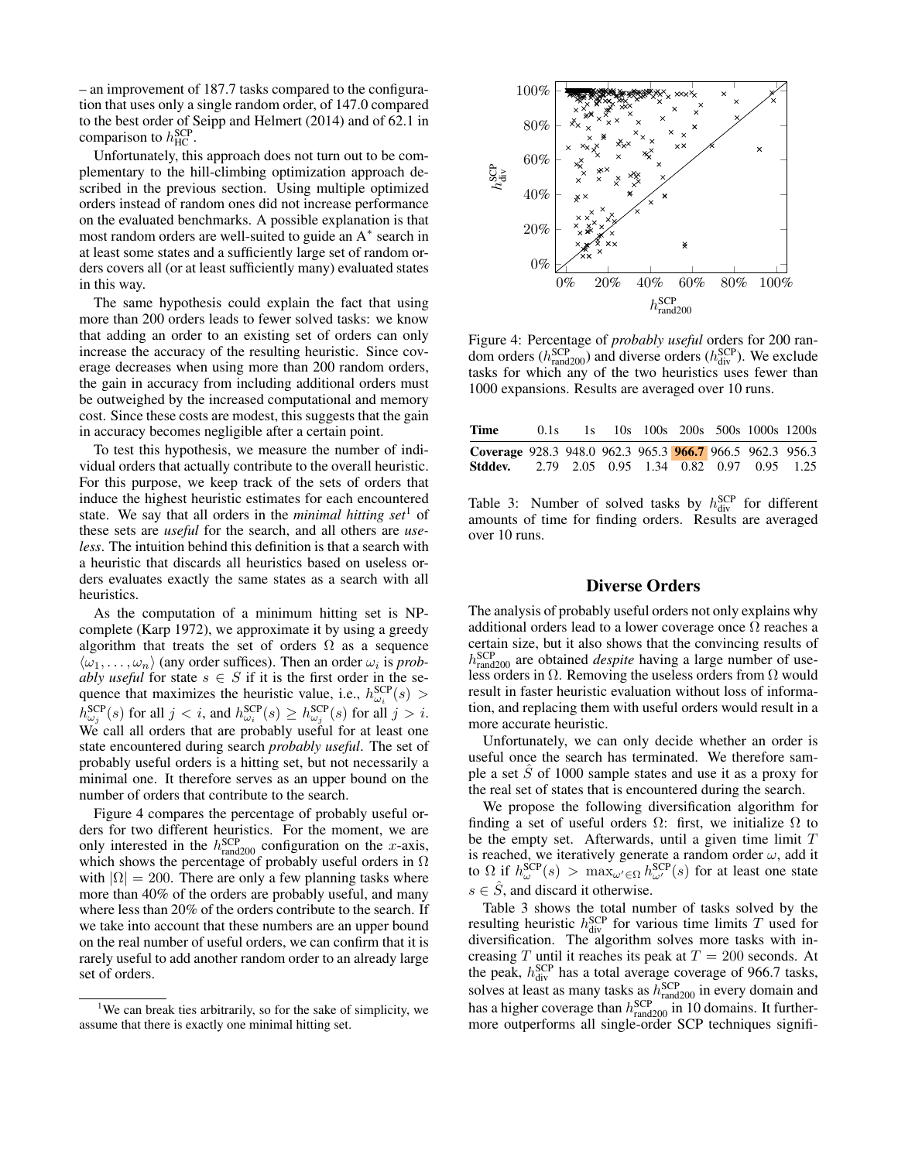– an improvement of 187.7 tasks compared to the configuration that uses only a single random order, of 147.0 compared to the best order of Seipp and Helmert (2014) and of 62.1 in comparison to  $h_{HC}^{SCP}$ .

Unfortunately, this approach does not turn out to be complementary to the hill-climbing optimization approach described in the previous section. Using multiple optimized orders instead of random ones did not increase performance on the evaluated benchmarks. A possible explanation is that most random orders are well-suited to guide an A<sup>\*</sup> search in at least some states and a sufficiently large set of random orders covers all (or at least sufficiently many) evaluated states in this way.

The same hypothesis could explain the fact that using more than 200 orders leads to fewer solved tasks: we know that adding an order to an existing set of orders can only increase the accuracy of the resulting heuristic. Since coverage decreases when using more than 200 random orders, the gain in accuracy from including additional orders must be outweighed by the increased computational and memory cost. Since these costs are modest, this suggests that the gain in accuracy becomes negligible after a certain point.

To test this hypothesis, we measure the number of individual orders that actually contribute to the overall heuristic. For this purpose, we keep track of the sets of orders that induce the highest heuristic estimates for each encountered state. We say that all orders in the *minimal hitting set*<sup>1</sup> of these sets are *useful* for the search, and all others are *useless*. The intuition behind this definition is that a search with a heuristic that discards all heuristics based on useless orders evaluates exactly the same states as a search with all heuristics.

As the computation of a minimum hitting set is NPcomplete (Karp 1972), we approximate it by using a greedy algorithm that treats the set of orders  $\Omega$  as a sequence  $\langle \omega_1, \ldots, \omega_n \rangle$  (any order suffices). Then an order  $\omega_i$  is *probably useful* for state  $s \in S$  if it is the first order in the sequence that maximizes the heuristic value, i.e.,  $h_{\omega_i}^{\text{SCP}}(s)$  >  $h_{\omega_j}^{\rm{SCP}}(s)$  for all  $j < i$ , and  $h_{\omega_i}^{\rm{SCP}}(s) \geq h_{\omega_j}^{\rm{SCP}}(s)$  for all  $j > i$ . We call all orders that are probably useful for at least one state encountered during search *probably useful*. The set of probably useful orders is a hitting set, but not necessarily a minimal one. It therefore serves as an upper bound on the number of orders that contribute to the search.

Figure 4 compares the percentage of probably useful orders for two different heuristics. For the moment, we are only interested in the  $h_{\text{rand200}}^{\text{SCP}}$  configuration on the *x*-axis, which shows the percentage of probably useful orders in  $\Omega$ with  $|\Omega| = 200$ . There are only a few planning tasks where more than 40% of the orders are probably useful, and many where less than 20% of the orders contribute to the search. If we take into account that these numbers are an upper bound on the real number of useful orders, we can confirm that it is rarely useful to add another random order to an already large set of orders.



Figure 4: Percentage of *probably useful* orders for 200 random orders ( $h_{\text{rand200}}^{\text{SCP}}$ ) and diverse orders ( $h_{\text{div}}^{\text{SCP}}$ ). We exclude tasks for which any of the two heuristics uses fewer than 1000 expansions. Results are averaged over 10 runs.

| Time                                                     | 0.1s |  |  | 1s 10s 100s 200s 500s 1000s 1200s |  |
|----------------------------------------------------------|------|--|--|-----------------------------------|--|
| Coverage 928.3 948.0 962.3 965.3 966.7 966.5 962.3 956.3 |      |  |  |                                   |  |
| <b>Stddev.</b> 2.79 2.05 0.95 1.34 0.82 0.97 0.95 1.25   |      |  |  |                                   |  |

Table 3: Number of solved tasks by  $h_{div}^{SCP}$  for different amounts of time for finding orders. Results are averaged over 10 runs.

## Diverse Orders

The analysis of probably useful orders not only explains why additional orders lead to a lower coverage once  $\Omega$  reaches a certain size, but it also shows that the convincing results of h SCP rand200 are obtained *despite* having a large number of useless orders in  $\Omega$ . Removing the useless orders from  $\Omega$  would result in faster heuristic evaluation without loss of information, and replacing them with useful orders would result in a more accurate heuristic.

Unfortunately, we can only decide whether an order is useful once the search has terminated. We therefore sample a set  $\ddot{S}$  of 1000 sample states and use it as a proxy for the real set of states that is encountered during the search.

We propose the following diversification algorithm for finding a set of useful orders  $\Omega$ : first, we initialize  $\Omega$  to be the empty set. Afterwards, until a given time limit  $T$ is reached, we iteratively generate a random order  $\omega$ , add it to  $\Omega$  if  $h_{\omega}^{\text{SCP}}(s) > \max_{\omega' \in \Omega} h_{\omega'}^{\text{SCP}}(s)$  for at least one state  $s \in \hat{S}$ , and discard it otherwise.

Table 3 shows the total number of tasks solved by the resulting heuristic  $h_{div}^{SCP}$  for various time limits T used for diversification. The algorithm solves more tasks with increasing T until it reaches its peak at  $T = 200$  seconds. At the peak,  $h_{div}^{SCP}$  has a total average coverage of 966.7 tasks, solves at least as many tasks as  $h_{\text{rand200}}^{\text{SCP}}$  in every domain and has a higher coverage than  $h_{\text{rand200}}^{\text{SCP}}$  in 10 domains. It furthermore outperforms all single-order SCP techniques signifi-

<sup>&</sup>lt;sup>1</sup>We can break ties arbitrarily, so for the sake of simplicity, we assume that there is exactly one minimal hitting set.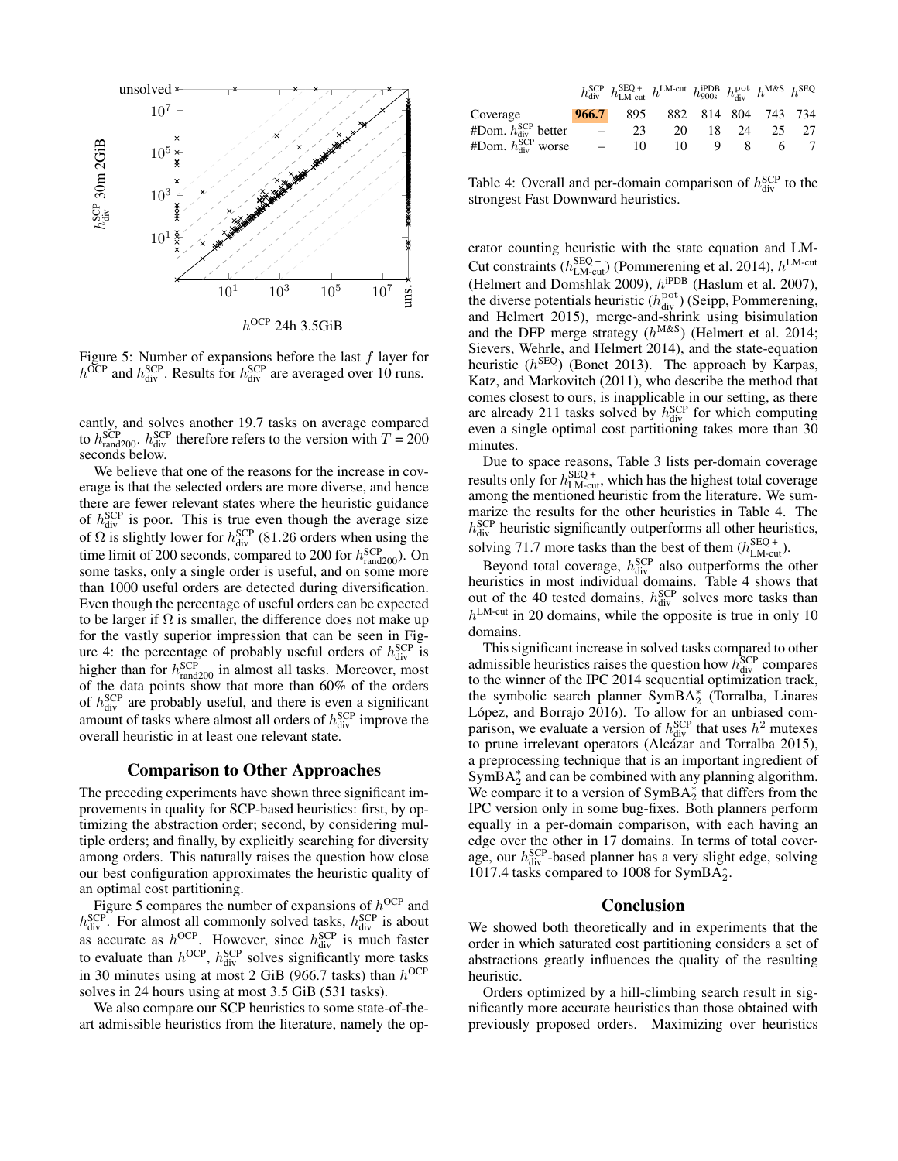

Figure 5: Number of expansions before the last  $f$  layer for  $h^{\text{OCP}}$  and  $h^{\text{SCP}}_{\text{div}}$ . Results for  $h^{\text{SCP}}_{\text{div}}$  are averaged over 10 runs.

cantly, and solves another 19.7 tasks on average compared to  $h_{\text{rand200}}^{\text{SCP}}$ .  $h_{\text{div}}^{\text{SCP}}$  therefore refers to the version with  $T = 200$ seconds below.

We believe that one of the reasons for the increase in coverage is that the selected orders are more diverse, and hence there are fewer relevant states where the heuristic guidance of  $h_{div}^{SCP}$  is poor. This is true even though the average size of  $\Omega$  is slightly lower for  $h_{div}^{SCP}$  (81.26 orders when using the time limit of 200 seconds, compared to 200 for  $h_{\text{rand200}}^{\text{SCP}}$ . On some tasks, only a single order is useful, and on some more than 1000 useful orders are detected during diversification. Even though the percentage of useful orders can be expected to be larger if  $\Omega$  is smaller, the difference does not make up for the vastly superior impression that can be seen in Figure 4: the percentage of probably useful orders of  $h_{div}^{SCP}$  is higher than for  $h_{\text{rand200}}^{\text{SCP}}$  in almost all tasks. Moreover, most of the data points show that more than 60% of the orders of  $h_{div}^{SCP}$  are probably useful, and there is even a significant amount of tasks where almost all orders of  $h_{div}^{SCP}$  improve the overall heuristic in at least one relevant state.

#### Comparison to Other Approaches

The preceding experiments have shown three significant improvements in quality for SCP-based heuristics: first, by optimizing the abstraction order; second, by considering multiple orders; and finally, by explicitly searching for diversity among orders. This naturally raises the question how close our best configuration approximates the heuristic quality of an optimal cost partitioning.

Figure 5 compares the number of expansions of  $h^{OCP}$  and  $h_{\text{div}}^{\text{SCP}}$ . For almost all commonly solved tasks,  $h_{\text{div}}^{\text{SCP}}$  is about as accurate as  $h^{OCP}$ . However, since  $h_{div}^{SCP}$  is much faster to evaluate than  $h^{\text{OCP}}$ ,  $h^{\text{SCP}}_{\text{div}}$  solves significantly more tasks in 30 minutes using at most 2 GiB (966.7 tasks) than  $h^{OCP}$ solves in 24 hours using at most 3.5 GiB (531 tasks).

We also compare our SCP heuristics to some state-of-theart admissible heuristics from the literature, namely the op-

|                                           |                                   | $h_{\text{div}}^{\text{SCP}}$ $h_{\text{LM-cut}}^{\text{SEQ}+}$ $h_{\text{}}^{\text{LM-cut}}$ $h_{\text{900s}}^{\text{IPDB}}$ $h_{\text{div}}^{\text{pot}}$ $h_{\text{M}}^{\text{M&S}}$ $h_{\text{}}^{\text{SEQ}}$ |    |                     |       |       |
|-------------------------------------------|-----------------------------------|--------------------------------------------------------------------------------------------------------------------------------------------------------------------------------------------------------------------|----|---------------------|-------|-------|
| Coverage                                  | 966.7                             | 895                                                                                                                                                                                                                |    | 882 814 804 743 734 |       |       |
| #Dom. $h_{div}^{SCP}$ better              | <b>Contract Contract Contract</b> | 23                                                                                                                                                                                                                 | 20 |                     | 18 24 | 25 27 |
| #Dom. $h_{\text{div}}^{\text{SCP}}$ worse | $\sim$ $\sim$                     | 10.                                                                                                                                                                                                                | 10 |                     | - 8 - | 6.    |

Table 4: Overall and per-domain comparison of  $h_{div}^{SCP}$  to the strongest Fast Downward heuristics.

erator counting heuristic with the state equation and LM-Cut constraints ( $h_{LM-cut}^{SEQ+}$ ) (Pommerening et al. 2014),  $h^{LM-cut}$ (Helmert and Domshlak 2009),  $h^{iPDB}$  (Haslum et al. 2007), the diverse potentials heuristic  $(h_{div}^{\text{pot}})$  (Seipp, Pommerening, and Helmert 2015), merge-and-shrink using bisimulation and the DFP merge strategy  $(h^{M\&S})$  (Helmert et al. 2014; Sievers, Wehrle, and Helmert 2014), and the state-equation heuristic ( $h^{\text{SEQ}}$ ) (Bonet 2013). The approach by Karpas, Katz, and Markovitch (2011), who describe the method that comes closest to ours, is inapplicable in our setting, as there are already 211 tasks solved by  $h_{div}^{SCP}$  for which computing even a single optimal cost partitioning takes more than 30 minutes.

Due to space reasons, Table 3 lists per-domain coverage results only for  $h_{LM-cut}^{SEQ+}$ , which has the highest total coverage among the mentioned heuristic from the literature. We summarize the results for the other heuristics in Table 4. The  $h_{\text{div}}^{\text{SCP}}$  heuristic significantly outperforms all other heuristics, solving 71.7 more tasks than the best of them  $(h_{LM-cut}^{SEQ})$ .

Beyond total coverage,  $h_{div}^{SCP}$  also outperforms the other heuristics in most individual domains. Table 4 shows that out of the 40 tested domains,  $h_{div}^{SCP}$  solves more tasks than  $h^{\text{LM-cut}}$  in 20 domains, while the opposite is true in only 10 domains.

This significant increase in solved tasks compared to other admissible heuristics raises the question how  $h_{div}^{SCP}$  compares to the winner of the IPC 2014 sequential optimization track, the symbolic search planner SymBA<sup>∗</sup> 2 (Torralba, Linares López, and Borrajo 2016). To allow for an unbiased comparison, we evaluate a version of  $h_{div}^{SCP}$  that uses  $h^2$  mutexes to prune irrelevant operators (Alcázar and Torralba 2015), a preprocessing technique that is an important ingredient of  $SymBA_2^*$  and can be combined with any planning algorithm. We compare it to a version of SymBA $_2^*$  that differs from the IPC version only in some bug-fixes. Both planners perform equally in a per-domain comparison, with each having an edge over the other in 17 domains. In terms of total coverage, our  $h_{div}^{SCP}$ -based planner has a very slight edge, solving 1017.4 tasks compared to 1008 for  $\text{SymBA}_2^*$ .

# Conclusion

We showed both theoretically and in experiments that the order in which saturated cost partitioning considers a set of abstractions greatly influences the quality of the resulting heuristic.

Orders optimized by a hill-climbing search result in significantly more accurate heuristics than those obtained with previously proposed orders. Maximizing over heuristics